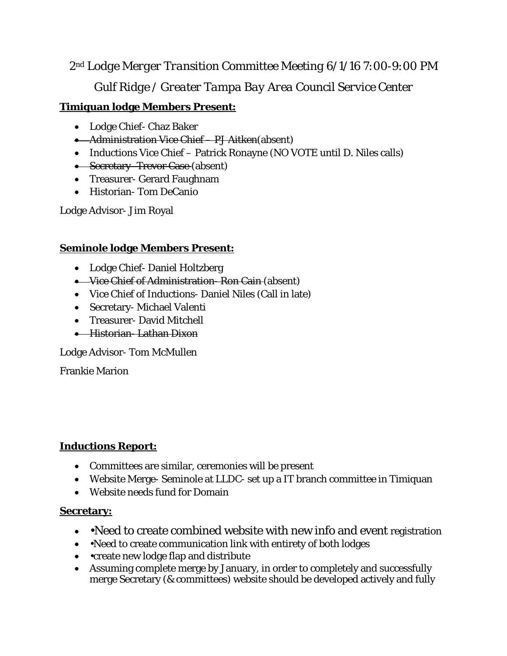# *2nd Lodge Merger Transition Committee Meeting 6/1/16 7:00-9:00 PM Gulf Ridge / Greater Tampa Bay Area Council Service Center*

## **Timiquan lodge Members Present:**

- Lodge Chief- Chaz Baker
- Administration Vice Chief PJ Aitken(absent)
- Inductions Vice Chief Patrick Ronayne (NO VOTE until D. Niles calls)
- Secretary-Trevor Case (absent)
- Treasurer- Gerard Faughnam
- Historian- Tom DeCanio

Lodge Advisor- Jim Royal

## **Seminole lodge Members Present:**

- Lodge Chief- Daniel Holtzberg
- Vice Chief of Administration Ron Cain (absent)
- Vice Chief of Inductions- Daniel Niles (Call in late)
- Secretary- Michael Valenti
- Treasurer- David Mitchell
- Historian- Lathan Dixon

Lodge Advisor- Tom McMullen

Frankie Marion

## **Inductions Report:**

- Committees are similar, ceremonies will be present
- Website Merge- Seminole at LLDC- set up a IT branch committee in Timiquan
- Website needs fund for Domain

## **Secretary:**

- • Need to create combined website with new info and event registration
- • Need to create communication link with entirety of both lodges
- • create new lodge flap and distribute
- Assuming complete merge by January, in order to completely and successfully merge Secretary (& committees) website should be developed actively and fully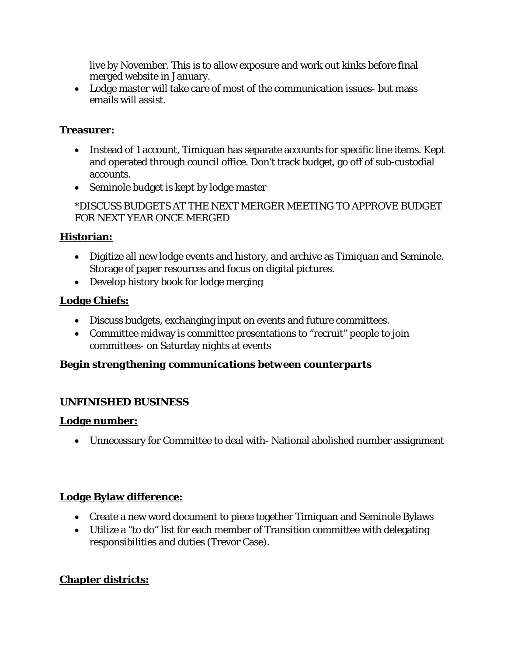live by November. This is to allow exposure and work out kinks before final merged website in January.

• Lodge master will take care of most of the communication issues- but mass emails will assist.

## **Treasurer:**

- Instead of 1 account, Timiquan has separate accounts for specific line items. Kept and operated through council office. Don't track budget, go off of sub-custodial accounts.
- Seminole budget is kept by lodge master

## \*DISCUSS BUDGETS AT THE NEXT MERGER MEETING TO APPROVE BUDGET FOR NEXT YEAR ONCE MERGED

## **Historian:**

- Digitize all new lodge events and history, and archive as Timiquan and Seminole. Storage of paper resources and focus on digital pictures.
- Develop history book for lodge merging

## **Lodge Chiefs:**

- Discuss budgets, exchanging input on events and future committees.
- Committee midway is committee presentations to "recruit" people to join committees- on Saturday nights at events

## *Begin strengthening communications between counterparts*

## **UNFINISHED BUSINESS**

## **Lodge number:**

• Unnecessary for Committee to deal with- National abolished number assignment

## **Lodge Bylaw difference:**

- Create a new word document to piece together Timiquan and Seminole Bylaws
- Utilize a "to do" list for each member of Transition committee with delegating responsibilities and duties (Trevor Case).

# **Chapter districts:**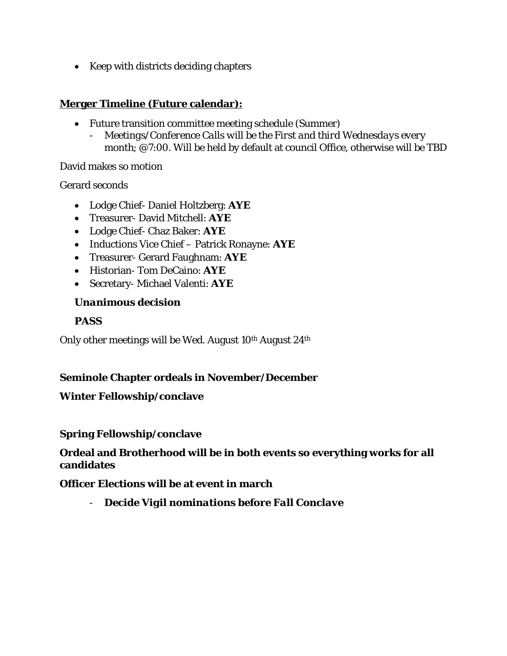• Keep with districts deciding chapters

#### **Merger Timeline (Future calendar):**

- Future transition committee meeting schedule (Summer)
	- *- Meetings/Conference Calls will be the First and third Wednesdays every month*; @7:00. Will be held by default at council Office, otherwise will be TBD

#### David makes so motion

#### Gerard seconds

- Lodge Chief- Daniel Holtzberg: **AYE**
- Treasurer- David Mitchell: **AYE**
- Lodge Chief- Chaz Baker: **AYE**
- Inductions Vice Chief Patrick Ronayne: **AYE**
- Treasurer- Gerard Faughnam: **AYE**
- Historian- Tom DeCaino: **AYE**
- Secretary- Michael Valenti: **AYE**

#### *Unanimous decision*

#### **PASS**

Only other meetings will be Wed. August 10<sup>th</sup> August 24<sup>th</sup>

#### **Seminole Chapter ordeals in November/December**

#### **Winter Fellowship/conclave**

#### **Spring Fellowship/conclave**

#### **Ordeal and Brotherhood will be in both events so everything works for all candidates**

#### **Officer Elections will be at event in march**

*- Decide Vigil nominations before Fall Conclave*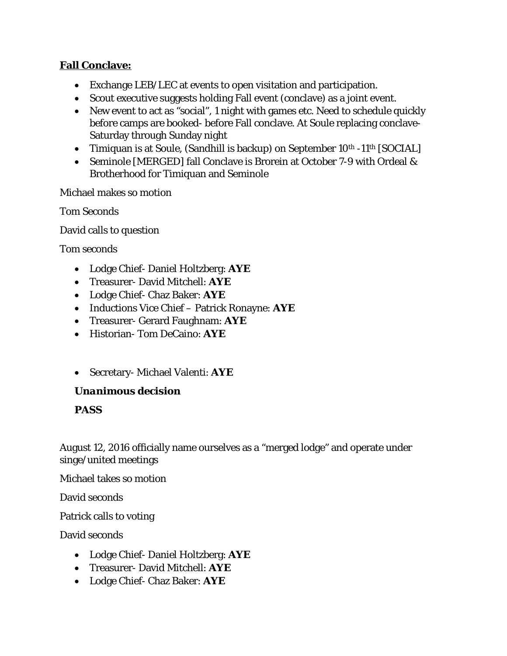## **Fall Conclave:**

- Exchange LEB/LEC at events to open visitation and participation.
- Scout executive suggests holding Fall event (conclave) as a joint event.
- New event to act as "social", 1 night with games etc. Need to schedule quickly before camps are booked- before Fall conclave. At Soule replacing conclave-Saturday through Sunday night
- Timiquan is at Soule, (Sandhill is backup) on September 10<sup>th</sup> -11<sup>th</sup> [SOCIAL]
- Seminole [MERGED] fall Conclave is Brorein at October 7-9 with Ordeal & Brotherhood for Timiquan and Seminole

Michael makes so motion

Tom Seconds

David calls to question

Tom seconds

- Lodge Chief- Daniel Holtzberg: **AYE**
- Treasurer- David Mitchell: **AYE**
- Lodge Chief- Chaz Baker: **AYE**
- Inductions Vice Chief Patrick Ronayne: **AYE**
- Treasurer- Gerard Faughnam: **AYE**
- Historian- Tom DeCaino: **AYE**
- Secretary- Michael Valenti: **AYE**

#### *Unanimous decision*

## **PASS**

August 12, 2016 officially name ourselves as a "merged lodge" and operate under singe/united meetings

Michael takes so motion

David seconds

Patrick calls to voting

David seconds

- Lodge Chief- Daniel Holtzberg: **AYE**
- Treasurer- David Mitchell: **AYE**
- Lodge Chief- Chaz Baker: **AYE**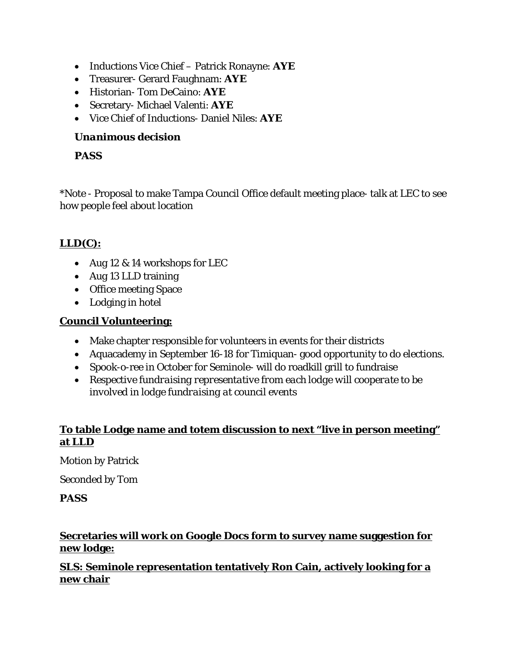- Inductions Vice Chief Patrick Ronayne: **AYE**
- Treasurer- Gerard Faughnam: **AYE**
- Historian- Tom DeCaino: **AYE**
- Secretary- Michael Valenti: **AYE**
- Vice Chief of Inductions- Daniel Niles: **AYE**

### *Unanimous decision*

## **PASS**

\*Note - Proposal to make Tampa Council Office default meeting place- talk at LEC to see how people feel about location

# **LLD(C):**

- Aug 12 & 14 workshops for LEC
- Aug 13 LLD training
- Office meeting Space
- Lodging in hotel

## **Council Volunteering:**

- Make chapter responsible for volunteers in events for their districts
- Aquacademy in September 16-18 for Timiquan- good opportunity to do elections.
- Spook-o-ree in October for Seminole- will do roadkill grill to fundraise
- *Respective fundraising representative from each lodge will cooperate to be involved in lodge fundraising at council events*

## **To table Lodge name and totem discussion to next "live in person meeting" at LLD**

Motion by Patrick

Seconded by Tom

#### **PASS**

## **Secretaries will work on Google Docs form to survey name suggestion for new lodge:**

## **SLS: Seminole representation tentatively Ron Cain, actively looking for a new chair**